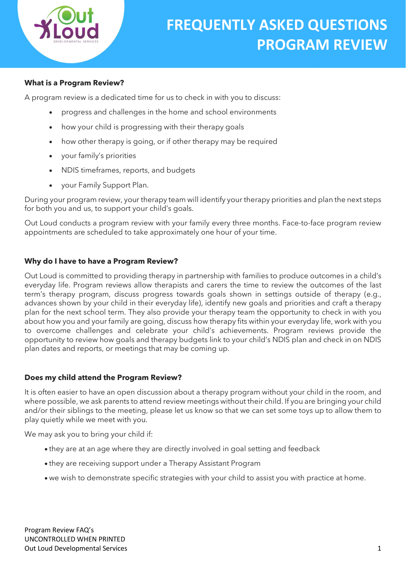

### What is a Program Review?

A program review is a dedicated time for us to check in with you to discuss:

- progress and challenges in the home and school environments
- how your child is progressing with their therapy goals
- how other therapy is going, or if other therapy may be required
- your family's priorities
- NDIS timeframes, reports, and budgets
- your Family Support Plan.

During your program review, your therapy team will identify your therapy priorities and plan the next steps for both you and us, to support your child's goals.

Out Loud conducts a program review with your family every three months. Face-to-face program review appointments are scheduled to take approximately one hour of your time.

#### Why do I have to have a Program Review?

Out Loud is committed to providing therapy in partnership with families to produce outcomes in a child's everyday life. Program reviews allow therapists and carers the time to review the outcomes of the last term's therapy program, discuss progress towards goals shown in settings outside of therapy (e.g., advances shown by your child in their everyday life), identify new goals and priorities and craft a therapy plan for the next school term. They also provide your therapy team the opportunity to check in with you about how you and your family are going, discuss how therapy fits within your everyday life, work with you to overcome challenges and celebrate your child's achievements. Program reviews provide the opportunity to review how goals and therapy budgets link to your child's NDIS plan and check in on NDIS plan dates and reports, or meetings that may be coming up.

#### Does my child attend the Program Review?

It is often easier to have an open discussion about a therapy program without your child in the room, and where possible, we ask parents to attend review meetings without their child. If you are bringing your child and/or their siblings to the meeting, please let us know so that we can set some toys up to allow them to play quietly while we meet with you.

We may ask you to bring your child if:

- they are at an age where they are directly involved in goal setting and feedback
- they are receiving support under a Therapy Assistant Program
- we wish to demonstrate specific strategies with your child to assist you with practice at home.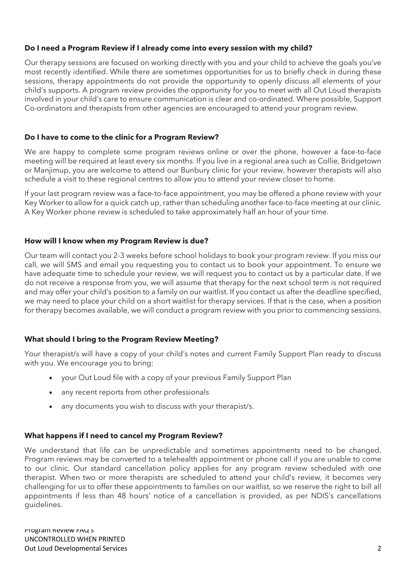# Do I need a Program Review if I already come into every session with my child?

Our therapy sessions are focused on working directly with you and your child to achieve the goals you've most recently identified. While there are sometimes opportunities for us to briefly check in during these sessions, therapy appointments do not provide the opportunity to openly discuss all elements of your child's supports. A program review provides the opportunity for you to meet with all Out Loud therapists involved in your child's care to ensure communication is clear and co-ordinated. Where possible, Support Co-ordinators and therapists from other agencies are encouraged to attend your program review.

### Do I have to come to the clinic for a Program Review?

We are happy to complete some program reviews online or over the phone, however a face-to-face meeting will be required at least every six months. If you live in a regional area such as Collie, Bridgetown or Manjimup, you are welcome to attend our Bunbury clinic for your review, however therapists will also schedule a visit to these regional centres to allow you to attend your review closer to home.

If your last program review was a face-to-face appointment, you may be offered a phone review with your Key Worker to allow for a quick catch up, rather than scheduling another face-to-face meeting at our clinic. A Key Worker phone review is scheduled to take approximately half an hour of your time.

# How will I know when my Program Review is due?

Our team will contact you 2-3 weeks before school holidays to book your program review. If you miss our call, we will SMS and email you requesting you to contact us to book your appointment. To ensure we have adequate time to schedule your review, we will request you to contact us by a particular date. If we do not receive a response from you, we will assume that therapy for the next school term is not required and may offer your child's position to a family on our waitlist. If you contact us after the deadline specified, we may need to place your child on a short waitlist for therapy services. If that is the case, when a position for therapy becomes available, we will conduct a program review with you prior to commencing sessions.

# What should I bring to the Program Review Meeting?

Your therapist/s will have a copy of your child's notes and current Family Support Plan ready to discuss with you. We encourage you to bring:

- vour Out Loud file with a copy of your previous Family Support Plan
- any recent reports from other professionals
- any documents you wish to discuss with your therapist/s.

### What happens if I need to cancel my Program Review?

We understand that life can be unpredictable and sometimes appointments need to be changed. Program reviews may be converted to a telehealth appointment or phone call if you are unable to come to our clinic. Our standard cancellation policy applies for any program review scheduled with one therapist. When two or more therapists are scheduled to attend your child's review, it becomes very challenging for us to offer these appointments to families on our waitlist, so we reserve the right to bill all appointments if less than 48 hours' notice of a cancellation is provided, as per NDIS's cancellations guidelines.